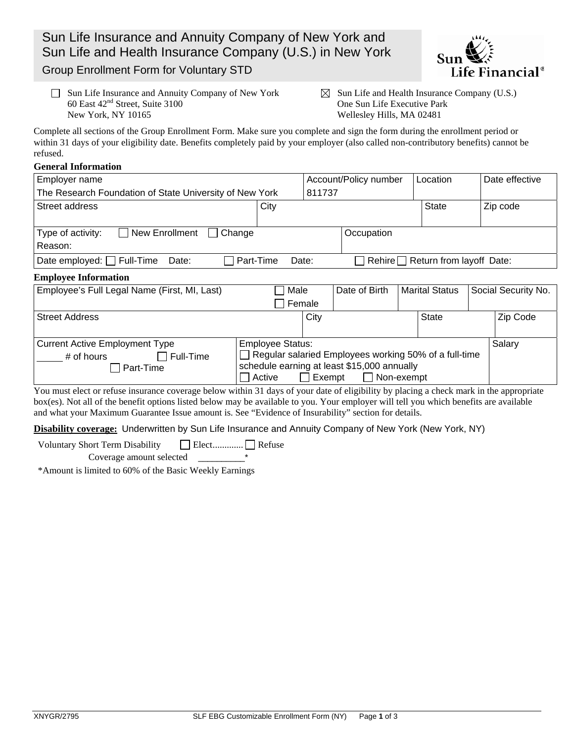Sun Life Insurance and Annuity Company of New York and Sun Life and Health Insurance Company (U.S.) in New York



Group Enrollment Form for Voluntary STD

- $\Box$  Sun Life Insurance and Annuity Company of New York  $\boxtimes$  Sun Life and Health Insurance Company (U.S.) 60 East 42nd Street, Suite 3100 One Sun Life Executive Park New York, NY 10165 Wellesley Hills, MA 02481
	-

Complete all sections of the Group Enrollment Form. Make sure you complete and sign the form during the enrollment period or within 31 days of your eligibility date. Benefits completely paid by your employer (also called non-contributory benefits) cannot be refused.

## **General Information**

| Employer name                                                                              |                                                                                                                                        | Account/Policy number |               |                       | Location     |                     | Date effective |
|--------------------------------------------------------------------------------------------|----------------------------------------------------------------------------------------------------------------------------------------|-----------------------|---------------|-----------------------|--------------|---------------------|----------------|
| The Research Foundation of State University of New York                                    |                                                                                                                                        | 811737                |               |                       |              |                     |                |
| Street address                                                                             | City                                                                                                                                   |                       |               |                       | <b>State</b> |                     | Zip code       |
| Type of activity:<br><b>New Enrollment</b><br>Change<br>$\mathbf{1}$<br>Reason:            |                                                                                                                                        |                       | Occupation    |                       |              |                     |                |
| Date employed: Full-Time<br>Part-Time<br>Rehire Return from layoff Date:<br>Date:<br>Date: |                                                                                                                                        |                       |               |                       |              |                     |                |
| <b>Employee Information</b>                                                                |                                                                                                                                        |                       |               |                       |              |                     |                |
| Employee's Full Legal Name (First, MI, Last)                                               | Male                                                                                                                                   |                       | Date of Birth | <b>Marital Status</b> |              | Social Security No. |                |
|                                                                                            | Female                                                                                                                                 |                       |               |                       |              |                     |                |
| <b>Street Address</b>                                                                      |                                                                                                                                        | City                  |               |                       | <b>State</b> |                     | Zip Code       |
| <b>Current Active Employment Type</b><br><b>Employee Status:</b>                           |                                                                                                                                        |                       |               |                       |              |                     | Salary         |
| Full-Time<br># of hours<br>Part-Time                                                       | Regular salaried Employees working 50% of a full-time<br>schedule earning at least \$15,000 annually<br>Non-exempt<br>Active<br>Exempt |                       |               |                       |              |                     |                |

You must elect or refuse insurance coverage below within 31 days of your date of eligibility by placing a check mark in the appropriate box(es). Not all of the benefit options listed below may be available to you. Your employer will tell you which benefits are available and what your Maximum Guarantee Issue amount is. See "Evidence of Insurability" section for details.

**Disability coverage:** Underwritten by Sun Life Insurance and Annuity Company of New York (New York, NY)

Voluntary Short Term Disability Elect ............. Refuse

Coverage amount selected \_\_\_\_\_\_\_\_\_\_\*

\*Amount is limited to 60% of the Basic Weekly Earnings